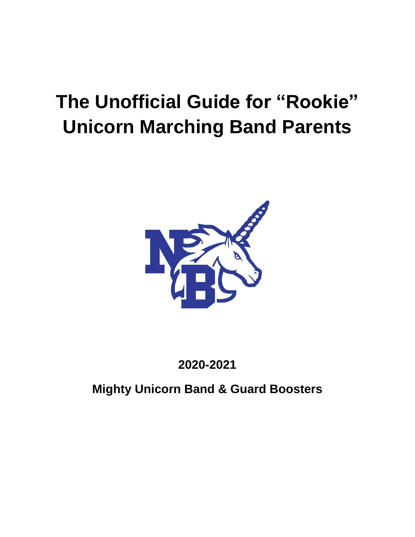# **The Unofficial Guide for "Rookie" Unicorn Marching Band Parents**



**2020-2021**

**Mighty Unicorn Band & Guard Boosters**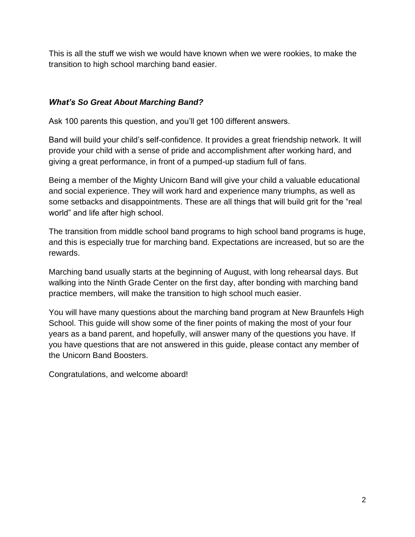This is all the stuff we wish we would have known when we were rookies, to make the transition to high school marching band easier.

### *What's So Great About Marching Band?*

Ask 100 parents this question, and you'll get 100 different answers.

Band will build your child's self-confidence. It provides a great friendship network. It will provide your child with a sense of pride and accomplishment after working hard, and giving a great performance, in front of a pumped-up stadium full of fans.

Being a member of the Mighty Unicorn Band will give your child a valuable educational and social experience. They will work hard and experience many triumphs, as well as some setbacks and disappointments. These are all things that will build grit for the "real world" and life after high school.

The transition from middle school band programs to high school band programs is huge, and this is especially true for marching band. Expectations are increased, but so are the rewards.

Marching band usually starts at the beginning of August, with long rehearsal days. But walking into the Ninth Grade Center on the first day, after bonding with marching band practice members, will make the transition to high school much easier.

You will have many questions about the marching band program at New Braunfels High School. This guide will show some of the finer points of making the most of your four years as a band parent, and hopefully, will answer many of the questions you have. If you have questions that are not answered in this guide, please contact any member of the Unicorn Band Boosters.

Congratulations, and welcome aboard!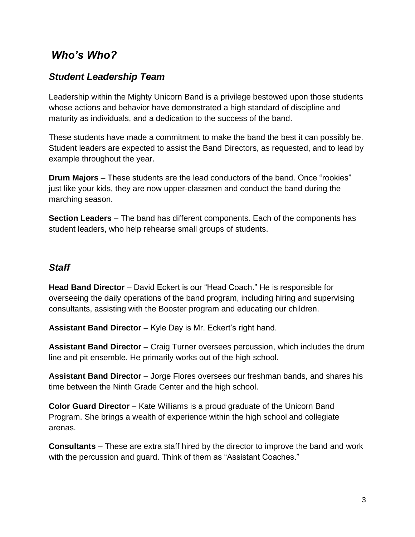# *Who's Who?*

# *Student Leadership Team*

Leadership within the Mighty Unicorn Band is a privilege bestowed upon those students whose actions and behavior have demonstrated a high standard of discipline and maturity as individuals, and a dedication to the success of the band.

These students have made a commitment to make the band the best it can possibly be. Student leaders are expected to assist the Band Directors, as requested, and to lead by example throughout the year.

**Drum Majors** – These students are the lead conductors of the band. Once "rookies" just like your kids, they are now upper-classmen and conduct the band during the marching season.

**Section Leaders** – The band has different components. Each of the components has student leaders, who help rehearse small groups of students.

## *Staff*

**Head Band Director** – David Eckert is our "Head Coach." He is responsible for overseeing the daily operations of the band program, including hiring and supervising consultants, assisting with the Booster program and educating our children.

**Assistant Band Director** – Kyle Day is Mr. Eckert's right hand.

**Assistant Band Director** – Craig Turner oversees percussion, which includes the drum line and pit ensemble. He primarily works out of the high school.

**Assistant Band Director** – Jorge Flores oversees our freshman bands, and shares his time between the Ninth Grade Center and the high school.

**Color Guard Director** – Kate Williams is a proud graduate of the Unicorn Band Program. She brings a wealth of experience within the high school and collegiate arenas.

**Consultants** – These are extra staff hired by the director to improve the band and work with the percussion and guard. Think of them as "Assistant Coaches."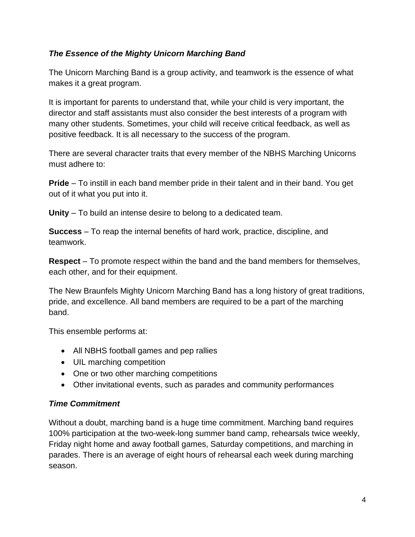#### *The Essence of the Mighty Unicorn Marching Band*

The Unicorn Marching Band is a group activity, and teamwork is the essence of what makes it a great program.

It is important for parents to understand that, while your child is very important, the director and staff assistants must also consider the best interests of a program with many other students. Sometimes, your child will receive critical feedback, as well as positive feedback. It is all necessary to the success of the program.

There are several character traits that every member of the NBHS Marching Unicorns must adhere to:

**Pride** – To instill in each band member pride in their talent and in their band. You get out of it what you put into it.

**Unity** – To build an intense desire to belong to a dedicated team.

**Success** – To reap the internal benefits of hard work, practice, discipline, and teamwork.

**Respect** – To promote respect within the band and the band members for themselves, each other, and for their equipment.

The New Braunfels Mighty Unicorn Marching Band has a long history of great traditions, pride, and excellence. All band members are required to be a part of the marching band.

This ensemble performs at:

- All NBHS football games and pep rallies
- UIL marching competition
- One or two other marching competitions
- Other invitational events, such as parades and community performances

#### *Time Commitment*

Without a doubt, marching band is a huge time commitment. Marching band requires 100% participation at the two-week-long summer band camp, rehearsals twice weekly, Friday night home and away football games, Saturday competitions, and marching in parades. There is an average of eight hours of rehearsal each week during marching season.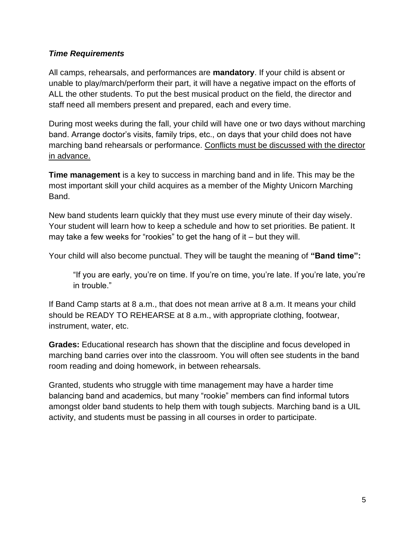#### *Time Requirements*

All camps, rehearsals, and performances are **mandatory**. If your child is absent or unable to play/march/perform their part, it will have a negative impact on the efforts of ALL the other students. To put the best musical product on the field, the director and staff need all members present and prepared, each and every time.

During most weeks during the fall, your child will have one or two days without marching band. Arrange doctor's visits, family trips, etc., on days that your child does not have marching band rehearsals or performance. Conflicts must be discussed with the director in advance.

**Time management** is a key to success in marching band and in life. This may be the most important skill your child acquires as a member of the Mighty Unicorn Marching Band.

New band students learn quickly that they must use every minute of their day wisely. Your student will learn how to keep a schedule and how to set priorities. Be patient. It may take a few weeks for "rookies" to get the hang of it – but they will.

Your child will also become punctual. They will be taught the meaning of **"Band time":**

"If you are early, you're on time. If you're on time, you're late. If you're late, you're in trouble."

If Band Camp starts at 8 a.m., that does not mean arrive at 8 a.m. It means your child should be READY TO REHEARSE at 8 a.m., with appropriate clothing, footwear, instrument, water, etc.

**Grades:** Educational research has shown that the discipline and focus developed in marching band carries over into the classroom. You will often see students in the band room reading and doing homework, in between rehearsals.

Granted, students who struggle with time management may have a harder time balancing band and academics, but many "rookie" members can find informal tutors amongst older band students to help them with tough subjects. Marching band is a UIL activity, and students must be passing in all courses in order to participate.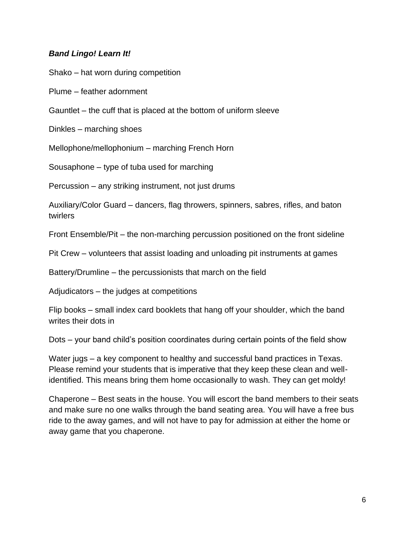#### *Band Lingo! Learn It!*

Shako – hat worn during competition

Plume – feather adornment

Gauntlet – the cuff that is placed at the bottom of uniform sleeve

Dinkles – marching shoes

Mellophone/mellophonium – marching French Horn

Sousaphone – type of tuba used for marching

Percussion – any striking instrument, not just drums

Auxiliary/Color Guard – dancers, flag throwers, spinners, sabres, rifles, and baton twirlers

Front Ensemble/Pit – the non-marching percussion positioned on the front sideline

Pit Crew – volunteers that assist loading and unloading pit instruments at games

Battery/Drumline – the percussionists that march on the field

Adjudicators – the judges at competitions

Flip books – small index card booklets that hang off your shoulder, which the band writes their dots in

Dots – your band child's position coordinates during certain points of the field show

Water jugs – a key component to healthy and successful band practices in Texas. Please remind your students that is imperative that they keep these clean and wellidentified. This means bring them home occasionally to wash. They can get moldy!

Chaperone – Best seats in the house. You will escort the band members to their seats and make sure no one walks through the band seating area. You will have a free bus ride to the away games, and will not have to pay for admission at either the home or away game that you chaperone.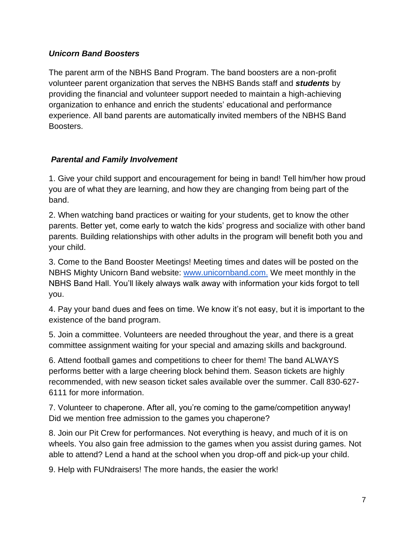#### *Unicorn Band Boosters*

The parent arm of the NBHS Band Program. The band boosters are a non-profit volunteer parent organization that serves the NBHS Bands staff and *students* by providing the financial and volunteer support needed to maintain a high-achieving organization to enhance and enrich the students' educational and performance experience. All band parents are automatically invited members of the NBHS Band Boosters.

#### *Parental and Family Involvement*

1. Give your child support and encouragement for being in band! Tell him/her how proud you are of what they are learning, and how they are changing from being part of the band.

2. When watching band practices or waiting for your students, get to know the other parents. Better yet, come early to watch the kids' progress and socialize with other band parents. Building relationships with other adults in the program will benefit both you and your child.

3. Come to the Band Booster Meetings! Meeting times and dates will be posted on the NBHS Mighty Unicorn Band website[:](http://www.unicornband.com/) [www.unicornband.com.](http://www.unicornband.com/) We meet monthly in the NBHS Band Hall. You'll likely always walk away with information your kids forgot to tell you.

4. Pay your band dues and fees on time. We know it's not easy, but it is important to the existence of the band program.

5. Join a committee. Volunteers are needed throughout the year, and there is a great committee assignment waiting for your special and amazing skills and background.

6. Attend football games and competitions to cheer for them! The band ALWAYS performs better with a large cheering block behind them. Season tickets are highly recommended, with new season ticket sales available over the summer. Call 830-627- 6111 for more information.

7. Volunteer to chaperone. After all, you're coming to the game/competition anyway! Did we mention free admission to the games you chaperone?

8. Join our Pit Crew for performances. Not everything is heavy, and much of it is on wheels. You also gain free admission to the games when you assist during games. Not able to attend? Lend a hand at the school when you drop-off and pick-up your child.

9. Help with FUNdraisers! The more hands, the easier the work!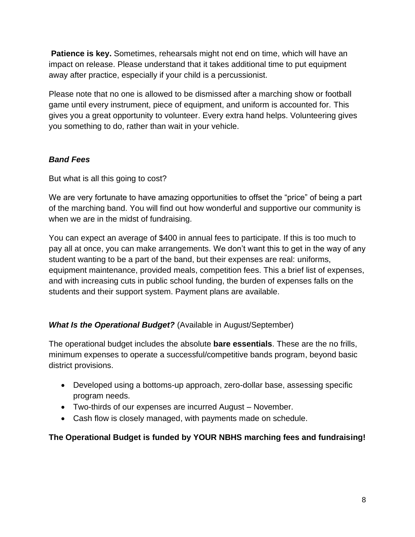**Patience is key.** Sometimes, rehearsals might not end on time, which will have an impact on release. Please understand that it takes additional time to put equipment away after practice, especially if your child is a percussionist.

Please note that no one is allowed to be dismissed after a marching show or football game until every instrument, piece of equipment, and uniform is accounted for. This gives you a great opportunity to volunteer. Every extra hand helps. Volunteering gives you something to do, rather than wait in your vehicle.

#### *Band Fees*

But what is all this going to cost?

We are very fortunate to have amazing opportunities to offset the "price" of being a part of the marching band. You will find out how wonderful and supportive our community is when we are in the midst of fundraising.

You can expect an average of \$400 in annual fees to participate. If this is too much to pay all at once, you can make arrangements. We don't want this to get in the way of any student wanting to be a part of the band, but their expenses are real: uniforms, equipment maintenance, provided meals, competition fees. This a brief list of expenses, and with increasing cuts in public school funding, the burden of expenses falls on the students and their support system. Payment plans are available.

#### *What Is the Operational Budget?* (Available in August/September)

The operational budget includes the absolute **bare essentials**. These are the no frills, minimum expenses to operate a successful/competitive bands program, beyond basic district provisions.

- Developed using a bottoms-up approach, zero-dollar base, assessing specific program needs.
- Two-thirds of our expenses are incurred August November.
- Cash flow is closely managed, with payments made on schedule.

#### **The Operational Budget is funded by YOUR NBHS marching fees and fundraising!**